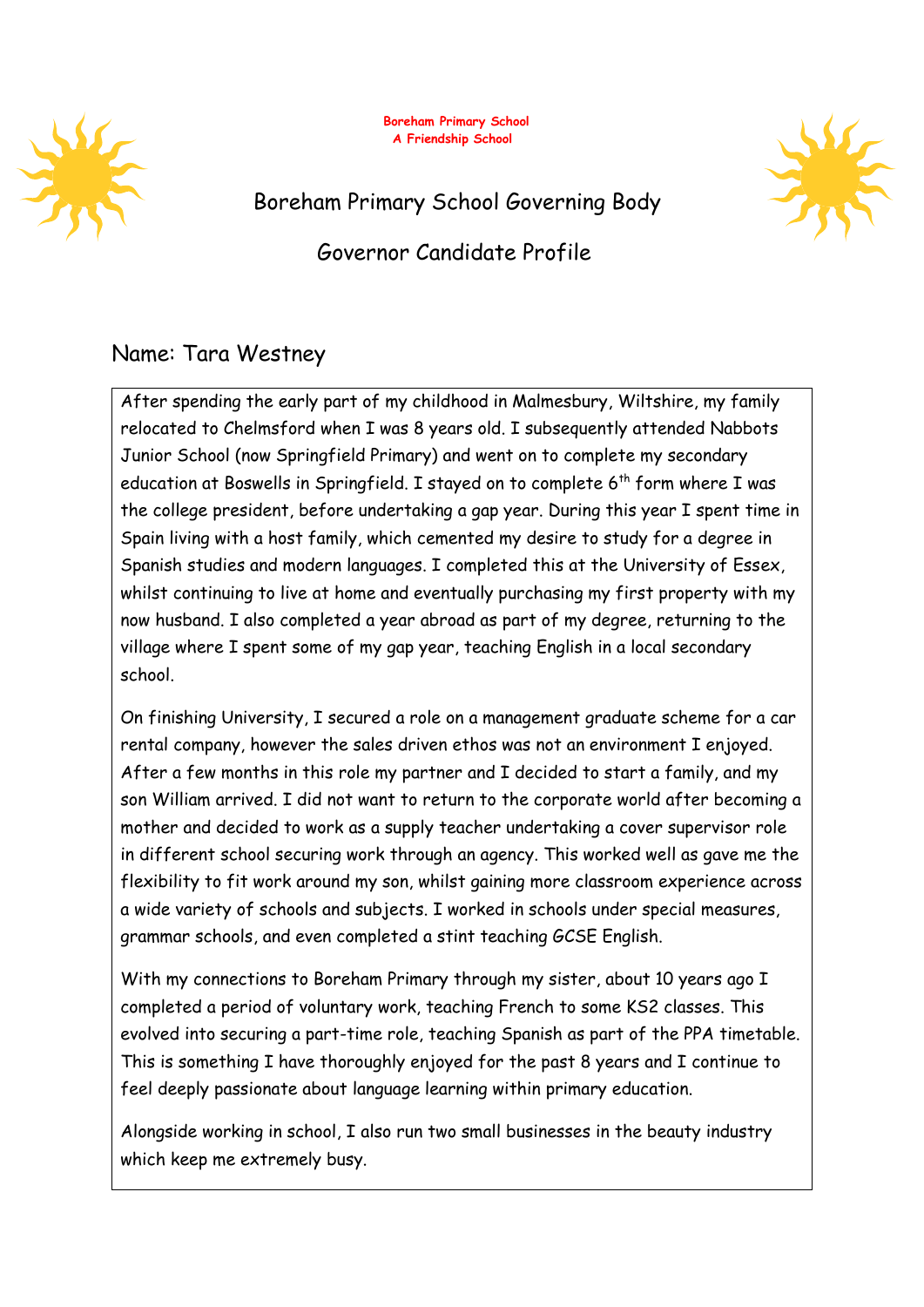

**Boreham Primary School A Friendship School**



Boreham Primary School Governing Body

Governor Candidate Profile

## Name: Tara Westney

After spending the early part of my childhood in Malmesbury, Wiltshire, my family relocated to Chelmsford when I was 8 years old. I subsequently attended Nabbots Junior School (now Springfield Primary) and went on to complete my secondary education at Boswells in Springfield. I stayed on to complete  $6<sup>th</sup>$  form where I was the college president, before undertaking a gap year. During this year I spent time in Spain living with a host family, which cemented my desire to study for a degree in Spanish studies and modern languages. I completed this at the University of Essex, whilst continuing to live at home and eventually purchasing my first property with my now husband. I also completed a year abroad as part of my degree, returning to the village where I spent some of my gap year, teaching English in a local secondary school.

On finishing University, I secured a role on a management graduate scheme for a car rental company, however the sales driven ethos was not an environment I enjoyed. After a few months in this role my partner and I decided to start a family, and my son William arrived. I did not want to return to the corporate world after becoming a mother and decided to work as a supply teacher undertaking a cover supervisor role in different school securing work through an agency. This worked well as gave me the flexibility to fit work around my son, whilst gaining more classroom experience across a wide variety of schools and subjects. I worked in schools under special measures, grammar schools, and even completed a stint teaching GCSE English.

With my connections to Boreham Primary through my sister, about 10 years ago I completed a period of voluntary work, teaching French to some KS2 classes. This evolved into securing a part-time role, teaching Spanish as part of the PPA timetable. This is something I have thoroughly enjoyed for the past 8 years and I continue to feel deeply passionate about language learning within primary education.

Alongside working in school, I also run two small businesses in the beauty industry which keep me extremely busy.